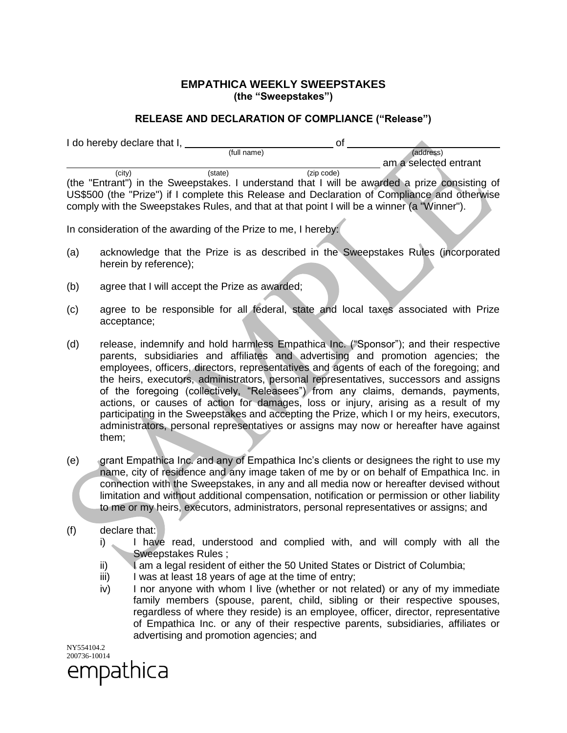## **EMPATHICA WEEKLY SWEEPSTAKES (the "Sweepstakes")**

## **RELEASE AND DECLARATION OF COMPLIANCE ("Release")**

|                                                                | I do hereby declare that I,<br>of                                                                                                                                                                                                                                                                                                                                                                                                                                                                                                       |  |  |  |
|----------------------------------------------------------------|-----------------------------------------------------------------------------------------------------------------------------------------------------------------------------------------------------------------------------------------------------------------------------------------------------------------------------------------------------------------------------------------------------------------------------------------------------------------------------------------------------------------------------------------|--|--|--|
|                                                                | (full name)<br>(address)<br>am a selected entrant                                                                                                                                                                                                                                                                                                                                                                                                                                                                                       |  |  |  |
|                                                                | (zip code)<br>(state)<br>(city)<br>(the "Entrant") in the Sweepstakes. I understand that I will be awarded a prize consisting of<br>US\$500 (the "Prize") if I complete this Release and Declaration of Compliance and otherwise<br>comply with the Sweepstakes Rules, and that at that point I will be a winner (a "Winner").                                                                                                                                                                                                          |  |  |  |
| In consideration of the awarding of the Prize to me, I hereby: |                                                                                                                                                                                                                                                                                                                                                                                                                                                                                                                                         |  |  |  |
| (a)                                                            | acknowledge that the Prize is as described in the Sweepstakes Rules (incorporated<br>herein by reference);                                                                                                                                                                                                                                                                                                                                                                                                                              |  |  |  |
| (b)                                                            | agree that I will accept the Prize as awarded;                                                                                                                                                                                                                                                                                                                                                                                                                                                                                          |  |  |  |
| (c)                                                            | agree to be responsible for all federal, state and local taxes associated with Prize<br>acceptance;                                                                                                                                                                                                                                                                                                                                                                                                                                     |  |  |  |
| (d)                                                            | release, indemnify and hold harmless Empathica Inc. ("Sponsor"); and their respective<br>parents, subsidiaries and affiliates and advertising and promotion agencies; the<br>employees, officers, directors, representatives and agents of each of the foregoing; and<br>the heirs, executors, administrators, personal representatives, successors and assigns<br>of the foregoing (collectively, "Releasees") from any claims, demands, payments,<br>actions or causes of action for damages loss or injury arising as a result of my |  |  |  |

action for damages, loss or injury, arising as a result of my participating in the Sweepstakes and accepting the Prize, which I or my heirs, executors, administrators, personal representatives or assigns may now or hereafter have against them;

- (e) grant Empathica Inc. and any of Empathica Inc's clients or designees the right to use my name, city of residence and any image taken of me by or on behalf of Empathica Inc. in connection with the Sweepstakes, in any and all media now or hereafter devised without limitation and without additional compensation, notification or permission or other liability to me or my heirs, executors, administrators, personal representatives or assigns; and
- (f) declare that:
	- i) I have read, understood and complied with, and will comply with all the Sweepstakes Rules ;
	- ii) I am a legal resident of either the 50 United States or District of Columbia;
	- iii) I was at least 18 years of age at the time of entry;
	- iv) I nor anyone with whom I live (whether or not related) or any of my immediate family members (spouse, parent, child, sibling or their respective spouses, regardless of where they reside) is an employee, officer, director, representative of Empathica Inc. or any of their respective parents, subsidiaries, affiliates or advertising and promotion agencies; and

NY554104.2 200736-10014 empathica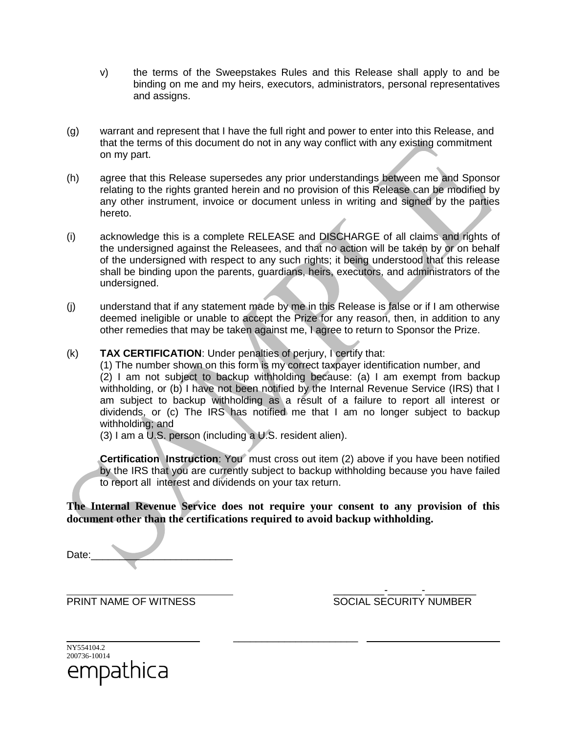- v) the terms of the Sweepstakes Rules and this Release shall apply to and be binding on me and my heirs, executors, administrators, personal representatives and assigns.
- (g) warrant and represent that I have the full right and power to enter into this Release, and that the terms of this document do not in any way conflict with any existing commitment on my part.
- (h) agree that this Release supersedes any prior understandings between me and Sponsor relating to the rights granted herein and no provision of this Release can be modified by any other instrument, invoice or document unless in writing and signed by the parties hereto.
- (i) acknowledge this is a complete RELEASE and DISCHARGE of all claims and rights of the undersigned against the Releasees, and that no action will be taken by or on behalf of the undersigned with respect to any such rights; it being understood that this release shall be binding upon the parents, guardians, heirs, executors, and administrators of the undersigned.
- (j) understand that if any statement made by me in this Release is false or if I am otherwise deemed ineligible or unable to accept the Prize for any reason, then, in addition to any other remedies that may be taken against me, I agree to return to Sponsor the Prize.
- (k) **TAX CERTIFICATION**: Under penalties of perjury, I certify that:

(1) The number shown on this form is my correct taxpayer identification number, and (2) I am not subject to backup withholding because: (a) I am exempt from backup withholding, or (b) I have not been notified by the Internal Revenue Service (IRS) that I am subject to backup withholding as a result of a failure to report all interest or dividends, or (c) The IRS has notified me that I am no longer subject to backup withholding; and

(3) I am a U.S. person (including a U.S. resident alien).

**Certification Instruction**: You must cross out item (2) above if you have been notified by the IRS that you are currently subject to backup withholding because you have failed to report all interest and dividends on your tax return.

**The Internal Revenue Service does not require your consent to any provision of this document other than the certifications required to avoid backup withholding.**

\_\_\_\_\_\_\_\_\_\_\_\_\_\_\_\_\_\_\_\_\_\_

Date:

\_\_\_\_\_\_\_\_\_-\_\_\_\_\_\_-\_\_\_\_\_\_\_\_\_ PRINT NAME OF WITNESS SOCIAL SECURITY NUMBER

| NY554104.2   |  |  |
|--------------|--|--|
| 200736-10014 |  |  |
| empathica    |  |  |